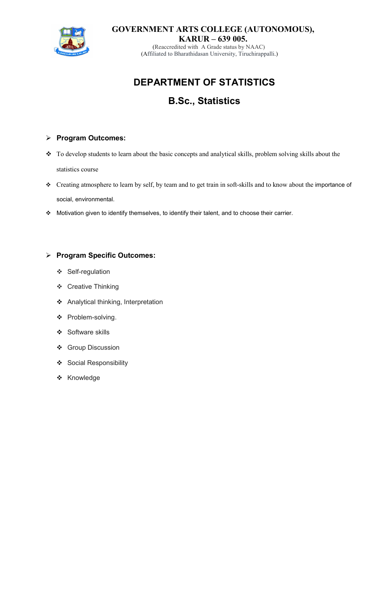

**GOVERNMENT ARTS COLLEGE (AUTONOMOUS), KARUR – 639 005.** 

(Reaccredited with A Grade status by NAAC) (Affiliated to Bharathidasan University, Tiruchirappalli.)

# **DEPARTMENT OF STATISTICS**

# **B.Sc., Statistics**

# **Program Outcomes:**

- To develop students to learn about the basic concepts and analytical skills, problem solving skills about the statistics course
- Creating atmosphere to learn by self, by team and to get train in soft-skills and to know about the importance of social, environmental.
- Motivation given to identify themselves, to identify their talent, and to choose their carrier.

# **Program Specific Outcomes:**

- Self-regulation
- ❖ Creative Thinking
- Analytical thinking, Interpretation
- ❖ Problem-solving.
- ❖ Software skills
- Group Discussion
- Social Responsibility
- ❖ Knowledge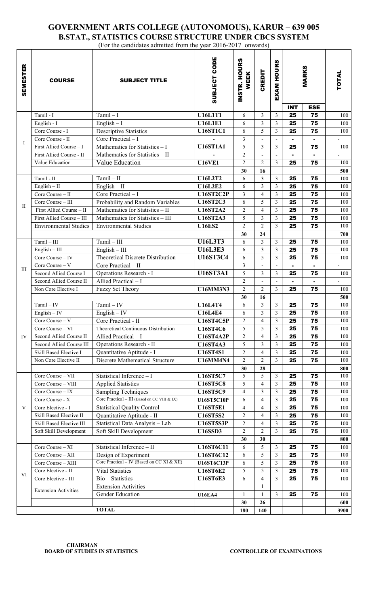# **GOVERNMENT ARTS COLLEGE (AUTONOMOUS), KARUR – 639 005 B.STAT., STATISTICS COURSE STRUCTURE UNDER CBCS SYSTEM**

| (For the candidates admitted from the year 2016-2017 onwards) |                              |                                              |                   |                      |                         |                          |                 |                 |              |
|---------------------------------------------------------------|------------------------------|----------------------------------------------|-------------------|----------------------|-------------------------|--------------------------|-----------------|-----------------|--------------|
| <b>SEMESTER</b>                                               | <b>COURSE</b>                | <b>SUBJECT TITLE</b>                         | SUBJECT CODE      | INSTR. HOURS<br>WEEK | <b>CREDIT</b>           | <b>EXAM HOURS</b>        | <b>MARKS</b>    |                 | <b>TOTAL</b> |
|                                                               |                              |                                              |                   |                      |                         |                          | <b>INT</b>      | <b>ESE</b>      |              |
| $\bf{I}$                                                      | Tamil - I                    | $Tamil-I$                                    | <b>U16L1T1</b>    | 6                    | 3                       | 3                        | 25              | 75              | 100          |
|                                                               | English - I                  | English $-1$                                 | <b>U16L1E1</b>    | 6                    | 3                       | $\overline{3}$           | 25              | 75              | 100          |
|                                                               | Core Course - I              | <b>Descriptive Statistics</b>                | <b>U16ST1C1</b>   | 6                    | 5                       | $\overline{\mathbf{3}}$  | 25              | 75              | 100          |
|                                                               | Core Course - II             | Core Practical - I                           |                   | $\mathfrak{Z}$       |                         | $\overline{\phantom{a}}$ |                 | $\blacksquare$  |              |
|                                                               | First Allied Course - I      | Mathematics for Statistics - I               | <b>U16ST1A1</b>   | 5                    | 3                       | $\overline{\mathbf{3}}$  | 25              | 75              | 100          |
|                                                               | First Allied Course - II     | Mathematics for Statistics - II              |                   | $\overline{2}$       |                         | $\overline{\phantom{a}}$ |                 |                 |              |
|                                                               | Value Education              | Value Education                              | <b>U16VE1</b>     | 2                    | $\overline{2}$          | $\overline{3}$           | 25              | 75              | 100          |
|                                                               |                              |                                              |                   | 30                   | 16                      |                          |                 |                 | 500          |
| П                                                             | Tamil - II                   | $Tamil - II$                                 | <b>U16L2T2</b>    | 6                    | 3                       | $\mathfrak{Z}$           | 25              | 75              | 100          |
|                                                               | $English - II$               | $English - II$                               | <b>U16L2E2</b>    | 6                    | 3                       | $\overline{\mathbf{3}}$  | 25              | 75              | 100          |
|                                                               | Core Course - II             | Core Practical - I                           | <b>U16ST2C2P</b>  | $\mathfrak{Z}$       | $\overline{4}$          | $\overline{3}$           | 25              | 75              | 100          |
|                                                               | Core Course - III            | Probability and Random Variables             | <b>U16ST2C3</b>   | 6                    | 5                       | $\overline{3}$           | 25              | 75              | 100          |
|                                                               | First Allied Course - II     | Mathematics for Statistics - II              | <b>U16ST2A2</b>   | $\overline{2}$       | $\overline{4}$          | $\overline{\mathbf{3}}$  | 25              | 75              | 100          |
|                                                               | First Allied Course - III    | Mathematics for Statistics - III             | <b>U16ST2A3</b>   | 5                    | 3                       | $\overline{3}$           | 25              | 75              | 100          |
|                                                               | <b>Environmental Studies</b> | <b>Environmental Studies</b>                 | <b>U16ES2</b>     | $\overline{2}$       | $\overline{2}$          | $\overline{3}$           | 25              | 75              | 100          |
|                                                               |                              |                                              |                   | 30                   | 24                      |                          |                 |                 | 700          |
| III                                                           | $Tamil - III$                | $Tamil - III$                                | <b>U16L3T3</b>    | 6                    | 3                       | 3                        | 25              | 75              | 100          |
|                                                               | $English - III$              | $English - III$                              | <b>U16L3E3</b>    | 6                    | 3                       | $\overline{3}$           | 25              | 75              | 100          |
|                                                               | Core Course - IV             | Theoretical Discrete Distribution            | <b>U16ST3C4</b>   | 6                    | 5                       | $\overline{\mathbf{3}}$  | 25              | 75              | 100          |
|                                                               | Core Course - V              | Core Practical - II                          |                   | $\mathfrak{Z}$       |                         | $\frac{1}{2}$            |                 |                 |              |
|                                                               | Second Allied Course I       | Operations Research - I                      | <b>U16ST3A1</b>   | 5                    | 3                       | 3                        | 25              | 75              | 100          |
|                                                               | Second Allied Course II      | Allied Practical - I                         |                   | $\overline{2}$       |                         | $\blacksquare$           | $\blacksquare$  | $\blacksquare$  |              |
|                                                               | Non Core Elective I          | Fuzzy Set Theory                             | <b>U16MM3N3</b>   | $\overline{2}$       | $\overline{2}$          | 3                        | 25              | 75              | 100          |
|                                                               |                              |                                              |                   | 30                   | 16                      |                          |                 |                 | 500          |
| IV                                                            | $Tamil - IV$                 | $Tamil - IV$                                 | <b>U16L4T4</b>    | 6                    | 3                       | $\overline{\mathbf{3}}$  | 25              | 75              | 100          |
|                                                               | English $-$ IV               | English $-$ IV                               | <b>U16L4E4</b>    | 6                    | $\overline{\mathbf{3}}$ | $\overline{\mathbf{3}}$  | $\overline{25}$ | $\overline{75}$ | 100          |
|                                                               | Core Course - V              | Core Practical - II                          | <b>U16ST4C5P</b>  | 2                    | 4                       | $\overline{3}$           | 25              | 75              | 100          |
|                                                               | Core Course - VI             | Theoretical Continuous Distribution          | <b>U16ST4C6</b>   | 5                    | 5                       | 3                        | 25              | 75              | 100          |
|                                                               | Second Allied Course II      | Allied Practical - I                         | <b>U16ST4A2P</b>  | $\overline{2}$       | $\overline{\mathbf{4}}$ | $\overline{\mathbf{3}}$  | 25              | 75              | 100          |
|                                                               | Second Allied Course III     | Operations Research - II                     | <b>U16ST4A3</b>   | 5                    | 3                       | $\overline{\mathbf{3}}$  | 25              | 75              | 100          |
|                                                               | Skill Based Elective I       | Quantitative Aptitude - I                    | <b>U16ST4S1</b>   | $\overline{2}$       | $\overline{\mathbf{4}}$ | $\overline{\mathbf{3}}$  | 25              | 75              | 100          |
|                                                               | Non Core Elective II         | <b>Discrete Mathematical Structure</b>       | <b>U16MM4N4</b>   | $\overline{2}$       | 2                       | $\overline{\mathbf{3}}$  | 25              | 75              | 100          |
|                                                               |                              |                                              |                   | 30                   | 28                      |                          |                 |                 | 800          |
| V                                                             | Core Course - VII            | Statistical Inference - I                    | <b>U16ST5C7</b>   | 5                    | 5                       | 3                        | 25              | 75              | 100          |
|                                                               | Core Course - VIII           | <b>Applied Statistics</b>                    | <b>U16ST5C8</b>   | 5                    | $\overline{\mathbf{4}}$ | $\overline{3}$           | 25              | 75              | 100          |
|                                                               | Core Course - IX             | <b>Sampling Techniques</b>                   | <b>U16ST5C9</b>   | $\overline{4}$       | 3                       | $\overline{3}$           | 25              | 75              | 100          |
|                                                               | Core Course - X              | Core Practical - III (Based on CC VIII & IX) | <b>U16ST5C10P</b> | 6                    | 4                       | $\overline{\mathbf{3}}$  | 25              | 75              | 100          |
|                                                               | Core Elective - I            | <b>Statistical Quality Control</b>           | <b>U16ST5E1</b>   | $\overline{4}$       | 4                       | $\overline{\mathbf{3}}$  | 25              | 75              | 100          |
|                                                               | Skill Based Elective II      | Quantitative Aptitude - II                   | <b>U16ST5S2</b>   | $\overline{2}$       | $\overline{\mathbf{4}}$ | $\overline{\mathbf{3}}$  | 25              | 75              | 100          |
|                                                               | Skill Based Elective III     | Statistical Data Analysis - Lab              | <b>U16ST5S3P</b>  | $\overline{2}$       | 4                       | $\overline{\mathbf{3}}$  | 25              | 75              | 100          |
|                                                               | Soft Skill Development       | Soft Skill Development                       | <b>U16SSD3</b>    | $\overline{2}$       | $\overline{2}$          | $\overline{3}$           | 25              | 75              | 100          |
|                                                               |                              |                                              |                   | 30                   | 30                      |                          |                 |                 | 800          |
| VI                                                            | Core Course - XI             | Statistical Inference - II                   | <b>U16ST6C11</b>  | 6                    | 5                       | $\overline{\mathbf{3}}$  | 25              | 75              | 100          |
|                                                               | Core Course - XII            | Design of Experiment                         | <b>U16ST6C12</b>  | 6                    | 5                       | $\overline{3}$           | 25              | 75              | 100          |
|                                                               | Core Course - XIII           | Core Practical - IV (Based on CC XI & XII)   | <b>U16ST6C13P</b> | 6                    | 5                       | $\overline{\mathbf{3}}$  | 25              | 75              | 100          |
|                                                               | Core Elective - II           | Vital Statistics                             | <b>U16ST6E2</b>   | 5                    | 5                       | $\overline{3}$           | 25              | 75              | 100          |
|                                                               | Core Elective - III          | Bio - Statistics                             | <b>U16ST6E3</b>   | 6                    | 4                       | $\overline{3}$           | 25              | 75              | 100          |
|                                                               | <b>Extension Activities</b>  | <b>Extension Activities</b>                  |                   |                      | 1                       |                          |                 |                 |              |
|                                                               |                              | Gender Education                             | <b>U16EA4</b>     | $\mathbf{1}$         |                         | 3                        | 25              | 75              | 100          |
|                                                               |                              |                                              |                   | 30                   | 26                      |                          |                 |                 | 600          |
|                                                               |                              | <b>TOTAL</b>                                 |                   | 180                  | 140                     |                          |                 |                 | 3900         |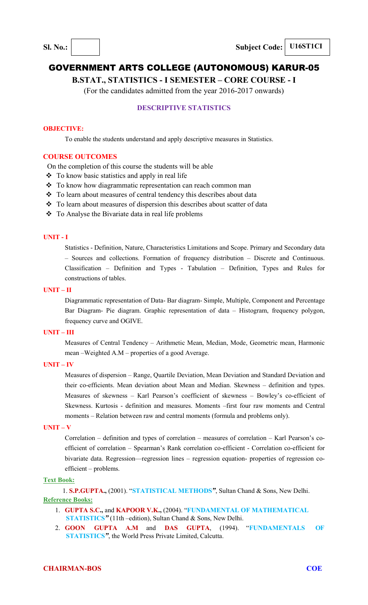**B.STAT., STATISTICS - I SEMESTER – CORE COURSE - I** 

(For the candidates admitted from the year 2016-2017 onwards)

# **DESCRIPTIVE STATISTICS**

#### **OBJECTIVE:**

To enable the students understand and apply descriptive measures in Statistics.

#### **COURSE OUTCOMES**

On the completion of this course the students will be able

- To know basic statistics and apply in real life
- ❖ To know how diagrammatic representation can reach common man
- To learn about measures of central tendency this describes about data
- \* To learn about measures of dispersion this describes about scatter of data
- \* To Analyse the Bivariate data in real life problems

# **UNIT - I**

Statistics - Definition, Nature, Characteristics Limitations and Scope. Primary and Secondary data – Sources and collections. Formation of frequency distribution – Discrete and Continuous. Classification – Definition and Types - Tabulation – Definition, Types and Rules for constructions of tables.

#### **UNIT – II**

Diagrammatic representation of Data- Bar diagram- Simple, Multiple, Component and Percentage Bar Diagram- Pie diagram. Graphic representation of data – Histogram, frequency polygon, frequency curve and OGIVE.

#### **UNIT – III**

Measures of Central Tendency – Arithmetic Mean, Median, Mode, Geometric mean, Harmonic mean –Weighted A.M – properties of a good Average.

#### **UNIT – IV**

Measures of dispersion – Range, Quartile Deviation, Mean Deviation and Standard Deviation and their co-efficients. Mean deviation about Mean and Median. Skewness – definition and types. Measures of skewness – Karl Pearson's coefficient of skewness – Bowley's co-efficient of Skewness. Kurtosis - definition and measures. Moments –first four raw moments and Central moments – Relation between raw and central moments (formula and problems only).

#### **UNIT – V**

Correlation – definition and types of correlation – measures of correlation – Karl Pearson's coefficient of correlation – Spearman's Rank correlation co-efficient - Correlation co-efficient for bivariate data. Regression—regression lines – regression equation- properties of regression coefficient – problems.

#### **Text Book:**

1. **S.P.GUPTA.,** (2001). "**STATISTICAL METHODS***"*, Sultan Chand & Sons, New Delhi. **Reference Books:**

- 1. **GUPTA S.C.,** and **KAPOOR V.K.,** (2004). "**FUNDAMENTAL OF MATHEMATICAL STATISTICS***"* (11th –edition), Sultan Chand & Sons, New Delhi.
- 2. **GOON GUPTA A.M** and **DAS GUPTA**, (1994). "**FUNDAMENTALS OF STATISTICS***"*, the World Press Private Limited, Calcutta.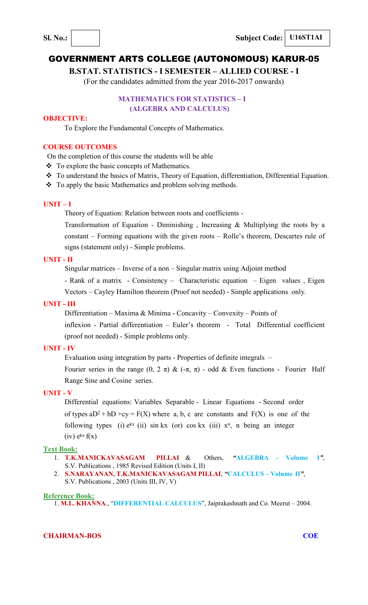**B.STAT. STATISTICS - I SEMESTER – ALLIED COURSE - I**

(For the candidates admitted from the year 2016-2017 onwards)

# **MATHEMATICS FOR STATISTICS – I (ALGEBRA AND CALCULUS)**

## **OBJECTIVE:**

To Explore the Fundamental Concepts of Mathematics.

# **COURSE OUTCOMES**

On the completion of this course the students will be able

- \* To explore the basic concepts of Mathematics.
- \* To understand the basics of Matrix, Theory of Equation, differentiation, Differential Equation.
- $\div$  To apply the basic Mathematics and problem solving methods.

# **UNIT – I**

Theory of Equation: Relation between roots and coefficients -

Transformation of Equation - Diminishing , Increasing & Multiplying the roots by a constant – Forming equations with the given roots – Rolle's theorem, Descartes rule of signs (statement only) - Simple problems.

# **UNIT - II**

Singular matrices – Inverse of a non – Singular matrix using Adjoint method

- Rank of a matrix - Consistency – Characteristic equation – Eigen values , Eigen Vectors – Cayley Hamilton theorem (Proof not needed) - Simple applications only.

#### **UNIT - III**

Differentiation – Maxima & Minima - Concavity – Convexity – Points of

inflexion - Partial differentiation – Euler's theorem - Total Differential coefficient (proof not needed) - Simple problems only.

#### **UNIT - IV**

Evaluation using integration by parts - Properties of definite integrals –

Fourier series in the range (0, 2 π) &  $(-\pi, \pi)$  - odd & Even functions - Fourier Half Range Sine and Cosine series.

# **UNIT - V**

Differential equations: Variables Separable - Linear Equations - Second order of types  $aD^2 + bD + cy = F(X)$  where a, b, c are constants and  $F(X)$  is one of the following types (i)  $e^{kx}$  (ii) sin kx (or) cos kx (iii)  $x^n$ , n being an integer  $(iv)$   $e^{kx} f(x)$ 

#### **Text Book:**

- 1. **T.K.MANICKAVASAGAM PILLAI** & Others, *"***ALGEBRA Volume I***"*, S.V. Publications , 1985 Revised Edition (Units I, II)
- 2. **S.NARAYANAN, T.K.MANICKAVASAGAM PILLAI**, *"***CALCULUS Volume II***"*, S.V. Publications , 2003 (Units III, IV, V)

#### **Reference Book:**

1. **M.L. KHANNA**., "**DIFFERENTIAL CALCULUS**", Jaiprakashnath and Co. Meerut – 2004.

## **CHAIRMAN-BOS COE**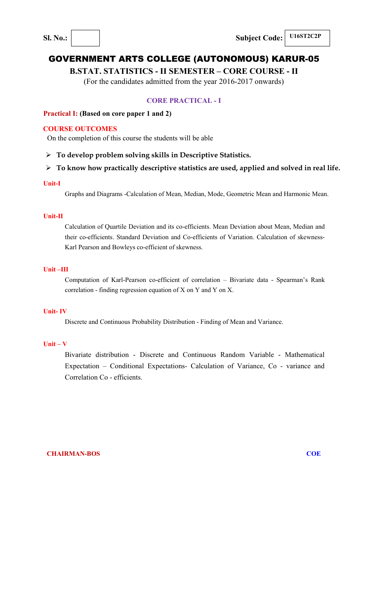# **B.STAT. STATISTICS - II SEMESTER – CORE COURSE - II**

(For the candidates admitted from the year 2016-2017 onwards)

# **CORE PRACTICAL - I**

# **Practical I: (Based on core paper 1 and 2)**

# **COURSE OUTCOMES**

On the completion of this course the students will be able

**To develop problem solving skills in Descriptive Statistics.** 

# **To know how practically descriptive statistics are used, applied and solved in real life.**

#### **Unit-I**

Graphs and Diagrams -Calculation of Mean, Median, Mode, Geometric Mean and Harmonic Mean.

## **Unit-II**

Calculation of Quartile Deviation and its co-efficients. Mean Deviation about Mean, Median and their co-efficients. Standard Deviation and Co-efficients of Variation. Calculation of skewness-Karl Pearson and Bowleys co-efficient of skewness.

# **Unit –III**

Computation of Karl-Pearson co-efficient of correlation – Bivariate data - Spearman's Rank correlation - finding regression equation of X on Y and Y on X.

# **Unit- IV**

Discrete and Continuous Probability Distribution - Finding of Mean and Variance.

#### **Unit – V**

Bivariate distribution - Discrete and Continuous Random Variable - Mathematical Expectation – Conditional Expectations- Calculation of Variance, Co - variance and Correlation Co - efficients.

**CHAIRMAN-BOS** COE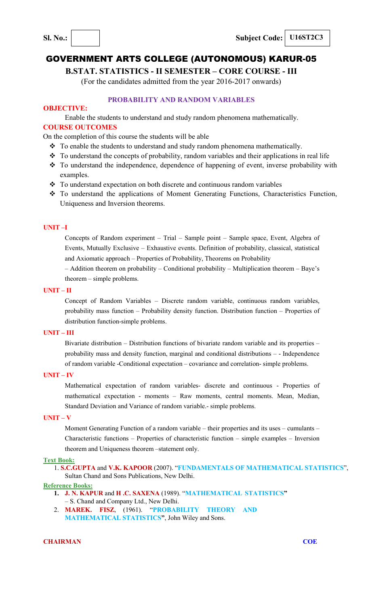**B.STAT. STATISTICS - II SEMESTER – CORE COURSE - III** 

(For the candidates admitted from the year 2016-2017 onwards)

# **PROBABILITY AND RANDOM VARIABLES**

# **OBJECTIVE:**

Enable the students to understand and study random phenomena mathematically.

# **COURSE OUTCOMES**

On the completion of this course the students will be able

- $\bullet$  To enable the students to understand and study random phenomena mathematically.
- $\cdot \cdot$  To understand the concepts of probability, random variables and their applications in real life
- \* To understand the independence, dependence of happening of event, inverse probability with examples.
- \* To understand expectation on both discrete and continuous random variables
- To understand the applications of Moment Generating Functions, Characteristics Function, Uniqueness and Inversion theorems.

## **UNIT –I**

Concepts of Random experiment – Trial – Sample point – Sample space, Event, Algebra of Events, Mutually Exclusive – Exhaustive events. Definition of probability, classical, statistical and Axiomatic approach – Properties of Probability, Theorems on Probability

– Addition theorem on probability – Conditional probability – Multiplication theorem – Baye's theorem – simple problems.

## **UNIT – II**

Concept of Random Variables – Discrete random variable, continuous random variables, probability mass function – Probability density function. Distribution function – Properties of distribution function-simple problems.

#### **UNIT – III**

Bivariate distribution – Distribution functions of bivariate random variable and its properties – probability mass and density function, marginal and conditional distributions – - Independence of random variable -Conditional expectation – covariance and correlation- simple problems.

# **UNIT – IV**

Mathematical expectation of random variables- discrete and continuous - Properties of mathematical expectation - moments – Raw moments, central moments. Mean, Median, Standard Deviation and Variance of random variable.- simple problems.

# **UNIT – V**

Moment Generating Function of a random variable – their properties and its uses – cumulants – Characteristic functions – Properties of characteristic function – simple examples – Inversion theorem and Uniqueness theorem –statement only.

## **Text Book:**

1. **S.C.GUPTA** and **V.K. KAPOOR** (2007). "**FUNDAMENTALS OF MATHEMATICAL STATISTICS**", Sultan Chand and Sons Publications, New Delhi.

# **Reference Books:**

- **1. J. N. KAPUR** and **H .C. SAXENA** (1989). "**MATHEMATICAL STATISTICS"**
- S. Chand and Company Ltd., New Delhi.
- 2. **MAREK. FISZ**, (1961). "**PROBABILITY THEORY AND MATHEMATICAL STATISTICS"**, John Wiley and Sons.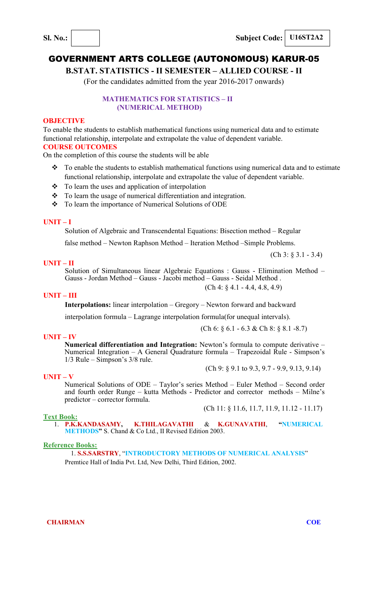**B.STAT. STATISTICS - II SEMESTER – ALLIED COURSE - II** 

(For the candidates admitted from the year 2016-2017 onwards)

# **MATHEMATICS FOR STATISTICS – II (NUMERICAL METHOD)**

#### **OBJECTIVE**

To enable the students to establish mathematical functions using numerical data and to estimate functional relationship, interpolate and extrapolate the value of dependent variable. **COURSE OUTCOMES** 

On the completion of this course the students will be able

- \* To enable the students to establish mathematical functions using numerical data and to estimate functional relationship, interpolate and extrapolate the value of dependent variable.
- $\cdot \cdot$  To learn the uses and application of interpolation
- $\bullet$  To learn the usage of numerical differentiation and integration.
- \* To learn the importance of Numerical Solutions of ODE

#### **UNIT – I**

Solution of Algebraic and Transcendental Equations: Bisection method – Regular

false method – Newton Raphson Method – Iteration Method –Simple Problems.

#### **UNIT – II**

Solution of Simultaneous linear Algebraic Equations : Gauss - Elimination Method – Gauss - Jordan Method – Gauss - Jacobi method – Gauss - Seidal Method . (Ch 4: § 4.1 - 4.4, 4.8, 4.9)

#### **UNIT – III**

**Interpolations:** linear interpolation – Gregory – Newton forward and backward

interpolation formula – Lagrange interpolation formula(for unequal intervals).

#### **UNIT – IV**

**Numerical differentiation and Integration:** Newton's formula to compute derivative – Numerical Integration – A General Quadrature formula – Trapezoidal Rule - Simpson's 1/3 Rule – Simpson's 3/8 rule.

(Ch 9: § 9.1 to 9.3, 9.7 - 9.9, 9.13, 9.14)

(Ch 6: § 6.1 - 6.3 & Ch 8: § 8.1 -8.7)

#### **UNIT – V**

Numerical Solutions of ODE – Taylor's series Method – Euler Method – Second order and fourth order Runge – kutta Methods - Predictor and corrector methods – Milne's predictor – corrector formula.

(Ch 11: § 11.6, 11.7, 11.9, 11.12 - 11.17)

#### **Text Book:**

1. **P.K.KANDASAMY, K.THILAGAVATHI** & **K.GUNAVATHI**, **"NUMERICAL METHODS"** S. Chand & Co Ltd., II Revised Edition 2003.

#### **Reference Books:**

1. **S.S.SARSTRY**, "**INTRODUCTORY METHODS OF NUMERICAL ANALYSIS**" Premtice Hall of India Pvt. Ltd, New Delhi, Third Edition, 2002.

**CHAIRMAN COE** 

(Ch 3: § 3.1 - 3.4)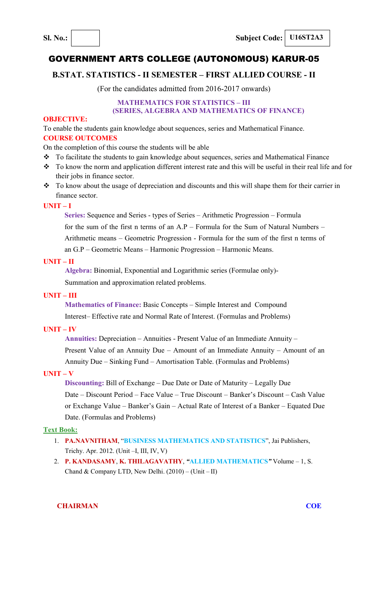# **B.STAT. STATISTICS - II SEMESTER – FIRST ALLIED COURSE - II**

(For the candidates admitted from 2016-2017 onwards)

# **MATHEMATICS FOR STATISTICS – III**

# **(SERIES, ALGEBRA AND MATHEMATICS OF FINANCE)**

## **OBJECTIVE:**

To enable the students gain knowledge about sequences, series and Mathematical Finance. **COURSE OUTCOMES** 

On the completion of this course the students will be able

- \* To facilitate the students to gain knowledge about sequences, series and Mathematical Finance
- To know the norm and application different interest rate and this will be useful in their real life and for their jobs in finance sector.
- \* To know about the usage of depreciation and discounts and this will shape them for their carrier in finance sector.

# **UNIT – I**

**Series:** Sequence and Series - types of Series – Arithmetic Progression – Formula for the sum of the first n terms of an A.P – Formula for the Sum of Natural Numbers – Arithmetic means – Geometric Progression - Formula for the sum of the first n terms of an G.P – Geometric Means – Harmonic Progression – Harmonic Means.

## **UNIT – II**

**Algebra:** Binomial, Exponential and Logarithmic series (Formulae only)-

Summation and approximation related problems.

# **UNIT – III**

**Mathematics of Finance:** Basic Concepts – Simple Interest and Compound Interest– Effective rate and Normal Rate of Interest. (Formulas and Problems)

## **UNIT – IV**

**Annuities:** Depreciation – Annuities - Present Value of an Immediate Annuity – Present Value of an Annuity Due – Amount of an Immediate Annuity – Amount of an Annuity Due – Sinking Fund – Amortisation Table. (Formulas and Problems)

# **UNIT – V**

**Discounting:** Bill of Exchange – Due Date or Date of Maturity – Legally Due Date – Discount Period – Face Value – True Discount – Banker's Discount – Cash Value or Exchange Value – Banker's Gain – Actual Rate of Interest of a Banker – Equated Due Date. (Formulas and Problems)

## **Text Book:**

- 1. **PA.NAVNITHAM**, "**BUSINESS MATHEMATICS AND STATISTICS**", Jai Publishers, Trichy. Apr. 2012. (Unit –I, III, IV, V)
- 2. **P. KANDASAMY**, **K. THILAGAVATHY**, *"***ALLIED MATHEMATICS***"* Volume 1, S. Chand & Company LTD, New Delhi. (2010) – (Unit – II)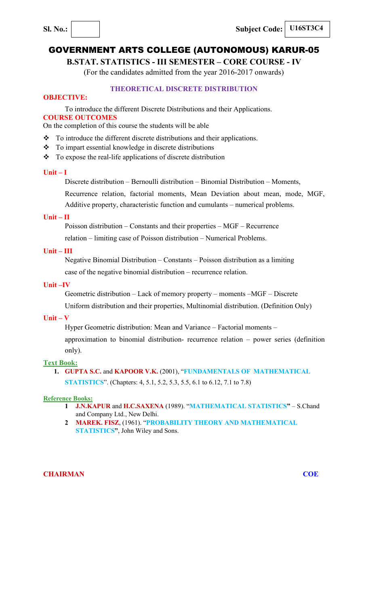**B.STAT. STATISTICS - III SEMESTER – CORE COURSE - IV** 

(For the candidates admitted from the year 2016-2017 onwards)

# **THEORETICAL DISCRETE DISTRIBUTION**

# **OBJECTIVE:**

To introduce the different Discrete Distributions and their Applications.

# **COURSE OUTCOMES**

On the completion of this course the students will be able

- To introduce the different discrete distributions and their applications.
- To impart essential knowledge in discrete distributions
- To expose the real-life applications of discrete distribution

## **Unit – I**

Discrete distribution – Bernoulli distribution – Binomial Distribution – Moments,

Recurrence relation, factorial moments, Mean Deviation about mean, mode, MGF,

Additive property, characteristic function and cumulants – numerical problems.

# **Unit – II**

Poisson distribution – Constants and their properties – MGF – Recurrence

relation – limiting case of Poisson distribution – Numerical Problems.

# **Unit – III**

Negative Binomial Distribution – Constants – Poisson distribution as a limiting case of the negative binomial distribution – recurrence relation.

# **Unit –IV**

Geometric distribution – Lack of memory property – moments –MGF – Discrete

Uniform distribution and their properties, Multinomial distribution. (Definition Only)

# **Unit – V**

Hyper Geometric distribution: Mean and Variance – Factorial moments –

approximation to binomial distribution- recurrence relation – power series (definition only).

# **Text Book:**

**1. GUPTA S.C.** and **KAPOOR V.K.** (2001), "**FUNDAMENTALS OF MATHEMATICAL STATISTICS**". (Chapters: 4, 5.1, 5.2, 5.3, 5.5, 6.1 to 6.12, 7.1 to 7.8)

#### **Reference Books:**

- **1 J.N.KAPUR** and **H.C.SAXENA** (1989). "**MATHEMATICAL STATISTICS"**  S.Chand and Company Ltd., New Delhi.
- **2 MAREK. FISZ**, (1961). "**PROBABILITY THEORY AND MATHEMATICAL STATISTICS"**, John Wiley and Sons.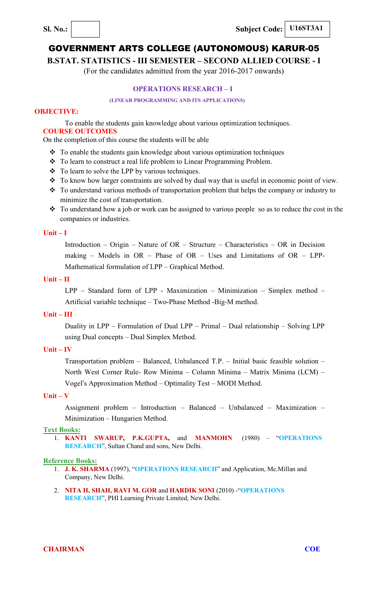**Sl. No.: Subject Code: U16ST3A1** 

# GOVERNMENT ARTS COLLEGE (AUTONOMOUS) KARUR-05

**B.STAT. STATISTICS - III SEMESTER – SECOND ALLIED COURSE - I** 

(For the candidates admitted from the year 2016-2017 onwards)

# **OPERATIONS RESEARCH – I**

#### **(LINEAR PROGRAMMING AND ITS APPLICATIONS)**

# **OBJECTIVE:**

To enable the students gain knowledge about various optimization techniques. **COURSE OUTCOMES** 

On the completion of this course the students will be able

- To enable the students gain knowledge about various optimization techniques
- \* To learn to construct a real life problem to Linear Programming Problem.
- To learn to solve the LPP by various techniques.
- \* To know how larger constraints are solved by dual way that is useful in economic point of view.
- \* To understand various methods of transportation problem that helps the company or industry to minimize the cost of transportation.
- To understand how a job or work can be assigned to various people so as to reduce the cost in the companies or industries.

## **Unit – I**

Introduction – Origin – Nature of OR – Structure – Characteristics – OR in Decision making – Models in  $OR$  – Phase of  $OR$  – Uses and Limitations of  $OR$  – LPP-Mathematical formulation of LPP – Graphical Method.

## **Unit – II**

LPP – Standard form of LPP - Maximization – Minimization – Simplex method – Artificial variable technique – Two-Phase Method -Big-M method.

#### **Unit – III**

Duality in LPP – Formulation of Dual LPP – Primal – Dual relationship – Solving LPP using Dual concepts – Dual Simplex Method.

# **Unit – IV**

Transportation problem – Balanced, Unbalanced T.P. – Initial basic feasible solution – North West Corner Rule- Row Minima – Column Minima – Matrix Minima (LCM) – Vogel's Approximation Method – Optimality Test – MODI Method.

## **Unit – V**

Assignment problem – Introduction – Balanced – Unbalanced – Maximization – Minimization – Hungarien Method.

#### **Text Books:**

1. **KANTI SWARUP, P.K.GUPTA,** and **MANMOHN** (1980) – "**OPERATIONS RESEARCH**", Sultan Chand and sons, New Delhi.

#### **Reference Books:**

- 1. **J. K. SHARMA** (1997), "**OPERATIONS RESEARCH**" and Application, Mc.Millan and Company, New Delhi.
- 2. **NITA H. SHAH, RAVI M. GOR** and **HARDIK SONI** (2010) -"**OPERATIONS RESEARCH**", PHI Learning Private Limited, New Delhi.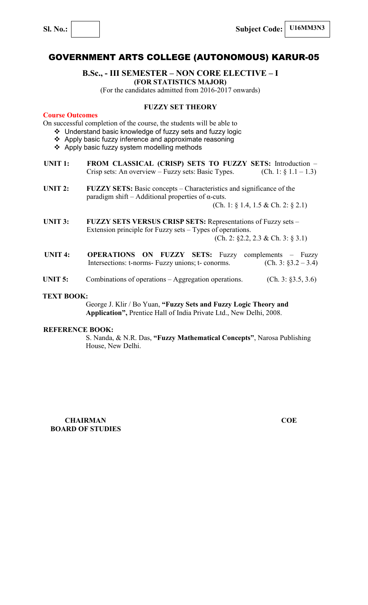**Sl. No.: Subject Code: U16MM3N3**

# GOVERNMENT ARTS COLLEGE (AUTONOMOUS) KARUR-05

# **B.Sc., - III SEMESTER – NON CORE ELECTIVE – I (FOR STATISTICS MAJOR)**

(For the candidates admitted from 2016-2017 onwards)

## **FUZZY SET THEORY**

# **Course Outcomes**

On successful completion of the course, the students will be able to

- Understand basic knowledge of fuzzy sets and fuzzy logic
- $\div$  Apply basic fuzzy inference and approximate reasoning
- ❖ Apply basic fuzzy system modelling methods
- **UNIT 1: FROM CLASSICAL (CRISP) SETS TO FUZZY SETS:** Introduction Crisp sets: An overview – Fuzzy sets: Basic Types. (Ch. 1:  $\S 1.1 - 1.3$ )
- **UNIT 2:** FUZZY SETS: Basic concepts Characteristics and significance of the paradigm shift – Additional properties of  $\alpha$ -cuts. (Ch. 1: § 1.4, 1.5 & Ch. 2: § 2.1)
- UNIT 3: FUZZY SETS VERSUS CRISP SETS: Representations of Fuzzy sets Extension principle for Fuzzy sets – Types of operations. (Ch. 2: §2.2, 2.3 & Ch. 3: § 3.1)
- **UNIT 4: OPERATIONS ON FUZZY SETS:** Fuzzy complements Fuzzy Intersections: t-norms- Fuzzy unions; t- conorms. (Ch. 3:  $\S 3.2 - 3.4$ )
- **UNIT 5:** Combinations of operations Aggregation operations. (Ch. 3: §3.5, 3.6)

#### **TEXT BOOK:**

George J. Klir / Bo Yuan, **"Fuzzy Sets and Fuzzy Logic Theory and Application",** Prentice Hall of India Private Ltd., New Delhi, 2008.

#### **REFERENCE BOOK:**

S. Nanda, & N.R. Das, **"Fuzzy Mathematical Concepts"**, Narosa Publishing House, New Delhi.

**CHAIRMAN COE BOARD OF STUDIES**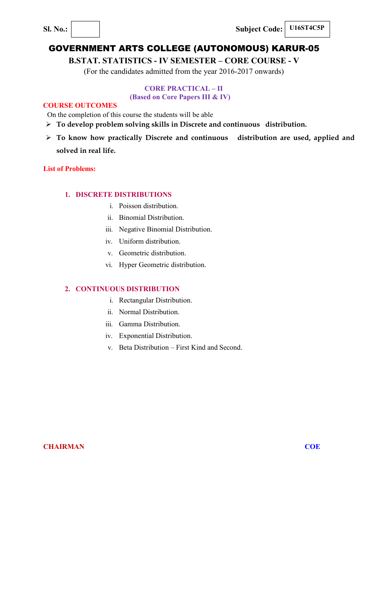**Sl. No.:**  $\begin{array}{|c|c|c|c|} \hline \textbf{S1. No.:} & \textbf{Subject Code:} & \textbf{U16ST4C5P} \hline \end{array}$ 

# GOVERNMENT ARTS COLLEGE (AUTONOMOUS) KARUR-05

**B.STAT. STATISTICS - IV SEMESTER – CORE COURSE - V** 

(For the candidates admitted from the year 2016-2017 onwards)

# **CORE PRACTICAL – II**

# **(Based on Core Papers III & IV)**

# **COURSE OUTCOMES**

On the completion of this course the students will be able

- **To develop problem solving skills in Discrete and continuous distribution.**
- **To know how practically Discrete and continuous distribution are used, applied and solved in real life.**

# **List of Problems:**

# **1. DISCRETE DISTRIBUTIONS**

- i. Poisson distribution.
- ii. Binomial Distribution.
- iii. Negative Binomial Distribution.
- iv. Uniform distribution.
- v. Geometric distribution.
- vi. Hyper Geometric distribution.

# **2. CONTINUOUS DISTRIBUTION**

- i. Rectangular Distribution.
- ii. Normal Distribution.
- iii. Gamma Distribution.
- iv. Exponential Distribution.
- v. Beta Distribution First Kind and Second.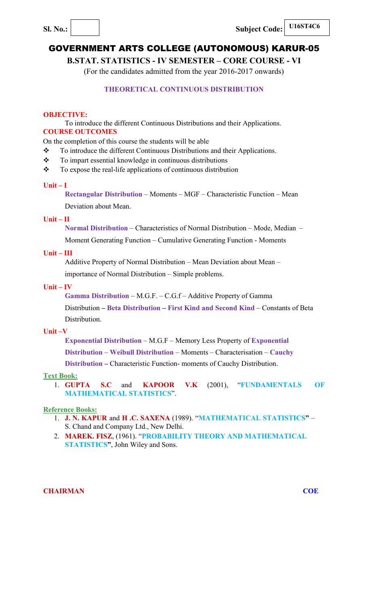**B.STAT. STATISTICS - IV SEMESTER – CORE COURSE - VI**

(For the candidates admitted from the year 2016-2017 onwards)

# **THEORETICAL CONTINUOUS DISTRIBUTION**

# **OBJECTIVE:**

To introduce the different Continuous Distributions and their Applications. **COURSE OUTCOMES** 

On the completion of this course the students will be able

- \* To introduce the different Continuous Distributions and their Applications.
- \* To impart essential knowledge in continuous distributions
- $\bullet$  To expose the real-life applications of continuous distribution

## **Unit – I**

**Rectangular Distribution** – Moments – MGF – Characteristic Function – Mean Deviation about Mean.

## **Unit – II**

**Normal Distribution** – Characteristics of Normal Distribution – Mode, Median –

Moment Generating Function – Cumulative Generating Function - Moments

# **Unit – III**

Additive Property of Normal Distribution – Mean Deviation about Mean – importance of Normal Distribution – Simple problems.

## **Unit – IV**

**Gamma Distribution** – M.G.F. – C.G.f – Additive Property of Gamma

Distribution **– Beta Distribution – First Kind and Second Kind** – Constants of Beta Distribution.

# **Unit –V**

**Exponential Distribution** – M.G.F – Memory Less Property of **Exponential**

**Distribution** – **Weibull Distribution** – Moments – Characterisation – **Cauchy** 

**Distribution –** Characteristic Function- moments of Cauchy Distribution.

# **Text Book:**

1. **GUPTA S.C** and **KAPOOR V.K** (2001), "**FUNDAMENTALS OF MATHEMATICAL STATISTICS**".

# **Reference Books:**

- 1. **J. N. KAPUR** and **H .C. SAXENA** (1989). "**MATHEMATICAL STATISTICS"**  S. Chand and Company Ltd., New Delhi.
- 2. **MAREK. FISZ**, (1961). "**PROBABILITY THEORY AND MATHEMATICAL STATISTICS"**, John Wiley and Sons.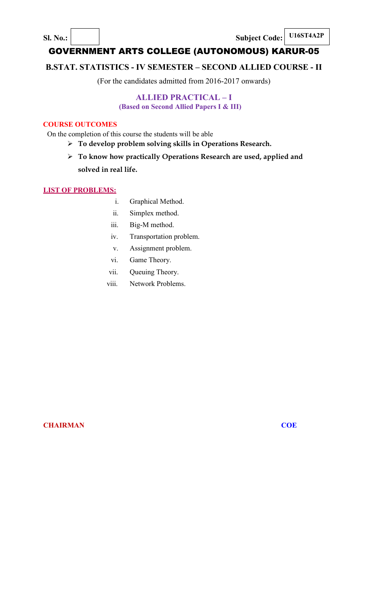**Sl. No.: Subject Code: U16ST4A2P** 

# GOVERNMENT ARTS COLLEGE (AUTONOMOUS) KARUR-05

# **B.STAT. STATISTICS - IV SEMESTER – SECOND ALLIED COURSE - II**

(For the candidates admitted from 2016-2017 onwards)

# **ALLIED PRACTICAL – I**

**(Based on Second Allied Papers I & III)**

# **COURSE OUTCOMES**

On the completion of this course the students will be able

- **To develop problem solving skills in Operations Research.**
- **To know how practically Operations Research are used, applied and solved in real life.**

# **LIST OF PROBLEMS:**

- i. Graphical Method.
- ii. Simplex method.
- iii. Big-M method.
- iv. Transportation problem.
- v. Assignment problem.
- vi. Game Theory.
- vii. Queuing Theory.
- viii. Network Problems.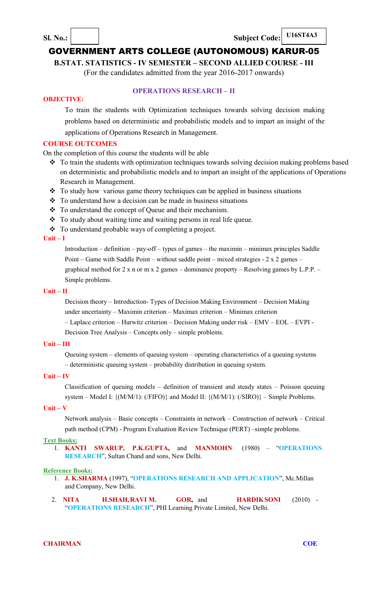**Sl. No.: Subject Code: U16ST4A3** 

# GOVERNMENT ARTS COLLEGE (AUTONOMOUS) KARUR-05

**B.STAT. STATISTICS - IV SEMESTER – SECOND ALLIED COURSE - III** 

(For the candidates admitted from the year 2016-2017 onwards)

# **OBJECTIVE:**

# **OPERATIONS RESEARCH – II**

To train the students with Optimization techniques towards solving decision making problems based on deterministic and probabilistic models and to impart an insight of the applications of Operations Research in Management.

#### **COURSE OUTCOMES**

On the completion of this course the students will be able

- $\cdot \cdot$  To train the students with optimization techniques towards solving decision making problems based on deterministic and probabilistic models and to impart an insight of the applications of Operations Research in Management.
- $\cdot$  To study how various game theory techniques can be applied in business situations
- $\div$  To understand how a decision can be made in business situations
- To understand the concept of Queue and their mechanism.
- \* To study about waiting time and waiting persons in real life queue.
- To understand probable ways of completing a project.

#### **Unit – I**

Introduction – definition – pay-off – types of games – the maximin – minimax principles Saddle Point – Game with Saddle Point – without saddle point – mixed strategies -  $2 \times 2$  games – graphical method for 2 x n or m x 2 games – dominance property – Resolving games by L.P.P. – Simple problems.

# **Unit – II**

Decision theory – Introduction- Types of Decision Making Environment – Decision Making under uncertainty – Maximin criterion – Maximax criterion – Minimax criterion

– Laplace criterion – Hurwitz criterion – Decision Making under risk – EMV – EOL – EVPI - Decision Tree Analysis – Concepts only – simple problems.

#### **Unit – III**

Queuing system – elements of queuing system – operating characteristics of a queuing systems – deterministic queuing system – probability distribution in queuing system.

# **Unit – IV**

Classification of queuing models – definition of transient and steady states – Poisson queuing system – Model I: {(M/M/1): (/FIFO)} and Model II: {(M/M/1): (/SIRO)} – Simple Problems.

#### **Unit – V**

Network analysis – Basic concepts – Constraints in network – Construction of network – Critical path method (CPM) - Program Evaluation Review Technique (PERT) –simple problems.

#### **Text Books:**

1. **KANTI SWARUP, P.K.GUPTA,** and **MANMOHN** (1980) – "**OPERATIONS RESEARCH**", Sultan Chand and sons, New Delhi.

#### **Reference Books:**

- 1. **J. K.SHARMA** (1997), "**OPERATIONS RESEARCH AND APPLICATION**", Mc.Millan and Company, New Delhi.
- 2. **NITA H.SHAH, RAVI M. GOR,** and **HARDIK SONI** (2010) "**OPERATIONS RESEARCH**", PHI Learning Private Limited, New Delhi.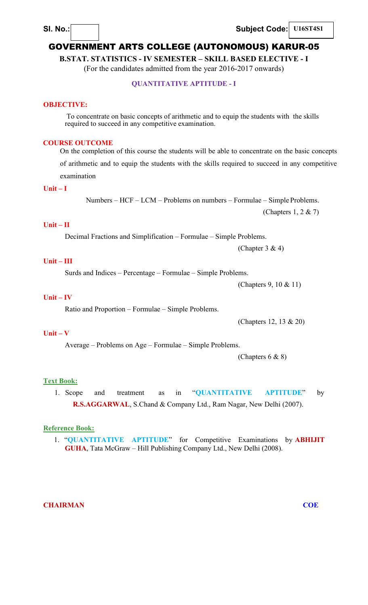**Sl. No.: Subject Code: U16ST4S1** 

# GOVERNMENT ARTS COLLEGE (AUTONOMOUS) KARUR-05

**B.STAT. STATISTICS - IV SEMESTER – SKILL BASED ELECTIVE - I** 

(For the candidates admitted from the year 2016-2017 onwards)

# **QUANTITATIVE APTITUDE - I**

#### **OBJECTIVE:**

To concentrate on basic concepts of arithmetic and to equip the students with the skills required to succeed in any competitive examination.

## **COURSE OUTCOME**

On the completion of this course the students will be able to concentrate on the basic concepts

of arithmetic and to equip the students with the skills required to succeed in any competitive examination

# **Unit – I**

Numbers – HCF – LCM – Problems on numbers – Formulae – Simple Problems. (Chapters 1, 2 & 7)

# **Unit – II**

Decimal Fractions and Simplification – Formulae – Simple Problems.

(Chapter  $3 & 4$ )

# **Unit – III**

Surds and Indices – Percentage – Formulae – Simple Problems.

(Chapters 9, 10 & 11)

# **Unit – IV**

Ratio and Proportion – Formulae – Simple Problems.

(Chapters 12, 13 & 20)

#### **Unit – V**

Average – Problems on Age – Formulae – Simple Problems.

(Chapters 6 & 8)

#### **Text Book:**

1. Scope and treatment as in "**QUANTITATIVE APTITUDE**" by **R.S.AGGARWAL**, S.Chand & Company Ltd., Ram Nagar, New Delhi (2007).

# **Reference Book:**

1. "**QUANTITATIVE APTITUDE**" for Competitive Examinations by **ABHIJIT GUHA**, Tata McGraw – Hill Publishing Company Ltd., New Delhi (2008).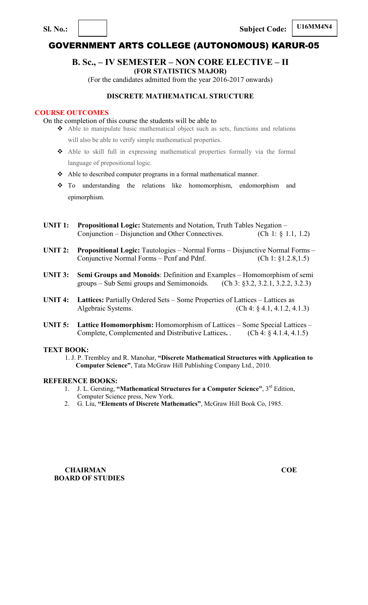**U16MM4N4 Sl. No.: Subject Code:**

# GOVERNMENT ARTS COLLEGE (AUTONOMOUS) KARUR-05

# **B. Sc., – IV SEMESTER – NON CORE ELECTIVE – II**

**(FOR STATISTICS MAJOR)** 

(For the candidates admitted from the year 2016-2017 onwards)

# **DISCRETE MATHEMATICAL STRUCTURE**

# **COURSE OUTCOMES**

On the completion of this course the students will be able to

- Able to manipulate basic mathematical object such as sets, functions and relations will also be able to verify simple mathematical properties.
- Able to skill full in expressing mathematical properties formally via the formal language of prepositional logic.
- Able to described computer programs in a formal mathematical manner.
- To understanding the relations like homomorphism, endomorphism and epimorphism.
- **UNIT 1: Propositional Logic:** Statements and Notation, Truth Tables Negation Conjunction – Disjunction and Other Connectives. (Ch 1: § 1.1, 1.2)
- **UNIT 2: Propositional Logic:** Tautologies Normal Forms Disjunctive Normal Forms Conjunctive Normal Forms – Pcnf and Pdnf. (Ch 1: §1.2.8,1.5)
- **UNIT 3:** Semi Groups and Monoids: Definition and Examples Homomorphism of semi groups Sub Semi groups and Semimonoids. (Ch 3: §3.2, 3.2.1, 3.2.2, 3.2.3) groups – Sub Semi groups and Semimonoids.
- **UNIT 4:** Lattices: Partially Ordered Sets Some Properties of Lattices Lattices as Algebraic Systems. (Ch 4: § 4.1, 4.1.2, 4.1.3)
- **UNIT 5: Lattice Homomorphism:** Homomorphism of Lattices Some Special Lattices Complete, Complemented and Distributive Lattices**.** . (Ch 4: § 4.1.4, 4.1.5)

#### **TEXT BOOK:**

1. J. P. Trembley and R. Manohar, **"Discrete Mathematical Structures with Application to Computer Science"**, Tata McGraw Hill Publishing Company Ltd., 2010.

#### **REFERENCE BOOKS:**

- 1. J. L. Gersting, **"Mathematical Structures for a Computer Science"**, 3rd Edition, Computer Science press, New York.
- 2. G. Liu, **"Elements of Discrete Mathematics"**, McGraw Hill Book Co, 1985.

**CHAIRMAN COE BOARD OF STUDIES**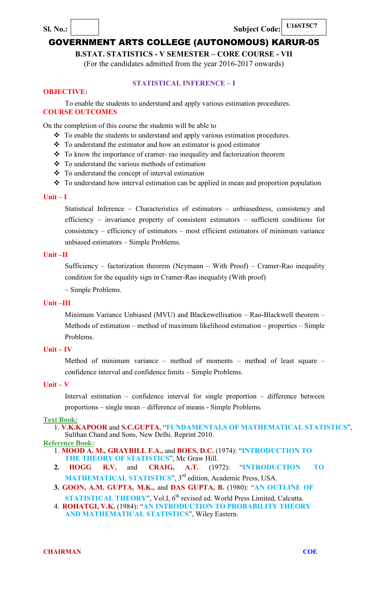**Sl. No.: Subject Code: U16ST5C7** 

# GOVERNMENT ARTS COLLEGE (AUTONOMOUS) KARUR-05

**B.STAT. STATISTICS - V SEMESTER – CORE COURSE - VII**

(For the candidates admitted from the year 2016-2017 onwards)

# **STATISTICAL INFERENCE – I**

# **OBJECTIVE:**

To enable the students to understand and apply various estimation procedures. **COURSE OUTCOMES** 

On the completion of this course the students will be able to

- \* To enable the students to understand and apply various estimation procedures.
- To understand the estimator and how an estimator is good estimator
- \* To know the importance of cramer- rao inequality and factorization theorem
- $\div$  To understand the various methods of estimation
- To understand the concept of interval estimation
- \* To understand how interval estimation can be applied in mean and proportion population

#### **Unit – I**

Statistical Inference – Characteristics of estimators – unbiasedness, consistency and efficiency – invariance property of consistent estimators – sufficient conditions for consistency – efficiency of estimators – most efficient estimators of minimum variance unbiased estimators – Simple Problems.

# **Unit –II**

Sufficiency – factorization theorem (Neymann – With Proof) – Cramer-Rao inequality condition for the equality sign in Cramer-Rao inequality (With proof)

– Simple Problems.

# **Unit –III**

Minimum Variance Unbiased (MVU) and Blackewellisation – Rao-Blackwell theorem – Methods of estimation – method of maximum likelihood estimation – properties – Simple Problems.

## **Unit – IV**

Method of minimum variance – method of moments – method of least square – confidence interval and confidence limits – Simple Problems.

#### **Unit – V**

Interval estimation – confidence interval for single proportion – difference between proportions – single mean – difference of means - Simple Problems.

# **Text Book:**

1. **V.K.KAPOOR** and **S.C.GUPTA**, "**FUNDAMENTALS OF MATHEMATICAL STATISTICS**", Sulthan Chand and Sons, New Delhi. Reprint 2010.

#### **Reference Book:**

- 1. **MOOD A. M., GRAYBILL F.A.,** and **BOES, D.C.** (1974): "**INTRODUCTION TO**  THE THEORY OF STATISTICS", Mc Graw Hill.
- **2. HOGG R.V.** and **CRAIG, A.T.** (1972): "**INTRODUCTION TO MATHEMATICAL STATISTICS**", 3<sup>rd</sup> edition, Academic Press, USA.
- **3. GOON, A.M. GUPTA, M.K.,** and **DAS GUPTA, B.** (1980): "**AN OUTLINE OF**
- **STATISTICAL THEORY**", Vol.I, 6<sup>th</sup> revised ed. World Press Limited, Calcutta. 4. **ROHATGI, V.K.** (1984): "**AN INTRODUCTION TO PROBABILITY THEORY AND MATHEMATICAL STATISTICS**", Wiley Eastern.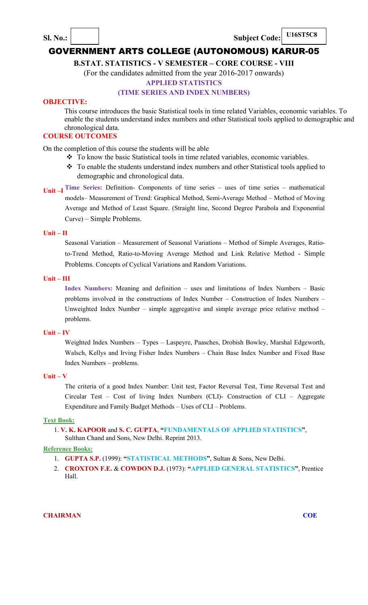**Sl. No.:** Subject Code:

**U16ST5C8** 

# GOVERNMENT ARTS COLLEGE (AUTONOMOUS) KARUR-05

**B.STAT. STATISTICS - V SEMESTER – CORE COURSE - VIII** 

(For the candidates admitted from the year 2016-2017 onwards)

## **APPLIED STATISTICS**

#### **(TIME SERIES AND INDEX NUMBERS)**

#### **OBJECTIVE:**

This course introduces the basic Statistical tools in time related Variables, economic variables. To enable the students understand index numbers and other Statistical tools applied to demographic and chronological data.

# **COURSE OUTCOMES**

On the completion of this course the students will be able

- To know the basic Statistical tools in time related variables, economic variables.
- \* To enable the students understand index numbers and other Statistical tools applied to demographic and chronological data.
- **Unit –I Time Series:** Definition- Components of time series uses of time series mathematical models– Measurement of Trend: Graphical Method, Semi-Average Method – Method of Moving Average and Method of Least Square. (Straight line, Second Degree Parabola and Exponential Curve) – Simple Problems.

#### **Unit – II**

Seasonal Variation – Measurement of Seasonal Variations – Method of Simple Averages, Ratioto-Trend Method, Ratio-to-Moving Average Method and Link Relative Method - Simple Problems. Concepts of Cyclical Variations and Random Variations.

#### **Unit – III**

**Index Numbers:** Meaning and definition – uses and limitations of Index Numbers – Basic problems involved in the constructions of Index Number – Construction of Index Numbers – Unweighted Index Number – simple aggregative and simple average price relative method – problems.

#### **Unit – IV**

Weighted Index Numbers – Types – Laspeyre, Paasches, Drobish Bowley, Marshal Edgeworth, Walsch, Kellys and Irving Fisher Index Numbers – Chain Base Index Number and Fixed Base Index Numbers – problems.

# **Unit – V**

The criteria of a good Index Number: Unit test, Factor Reversal Test, Time Reversal Test and Circular Test – Cost of living Index Numbers (CLI)- Construction of CLI – Aggregate Expenditure and Family Budget Methods – Uses of CLI – Problems.

#### **Text Book:**

1. **V. K. KAPOOR** and **S. C. GUPTA**, **"FUNDAMENTALS OF APPLIED STATISTICS"**, Sulthan Chand and Sons, New Delhi. Reprint 2013.

#### **Reference Books:**

- 1. **GUPTA S.P.** (1999): **"STATISTICAL METHODS"**, Sultan & Sons, New Delhi.
- 2. **CROXTON F.E.** & **COWDON D.J.** (1973): **"APPLIED GENERAL STATISTICS"**, Prentice Hall.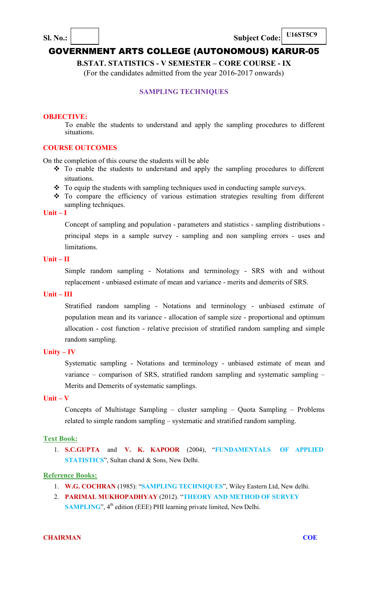

**Sl. No.:**  $\vert$  **Subject Code:** 

**U16ST5C9** 

# GOVERNMENT ARTS COLLEGE (AUTONOMOUS) KARUR-05

**B.STAT. STATISTICS - V SEMESTER – CORE COURSE - IX**  (For the candidates admitted from the year 2016-2017 onwards)

# **SAMPLING TECHNIQUES**

#### **OBJECTIVE:**

To enable the students to understand and apply the sampling procedures to different situations.

# **COURSE OUTCOMES**

On the completion of this course the students will be able

- To enable the students to understand and apply the sampling procedures to different situations.
- $\cdot \cdot$  To equip the students with sampling techniques used in conducting sample surveys.
- To compare the efficiency of various estimation strategies resulting from different sampling techniques.

# **Unit – I**

Concept of sampling and population - parameters and statistics - sampling distributions principal steps in a sample survey - sampling and non sampling errors - uses and limitations.

# **Unit – II**

Simple random sampling - Notations and terminology - SRS with and without replacement - unbiased estimate of mean and variance - merits and demerits of SRS.

#### **Unit – III**

Stratified random sampling - Notations and terminology - unbiased estimate of population mean and its variance - allocation of sample size - proportional and optimum allocation - cost function - relative precision of stratified random sampling and simple random sampling.

# **Unity – IV**

Systematic sampling - Notations and terminology - unbiased estimate of mean and variance – comparison of SRS, stratified random sampling and systematic sampling – Merits and Demerits of systematic samplings.

#### **Unit – V**

Concepts of Multistage Sampling – cluster sampling – Quota Sampling – Problems related to simple random sampling – systematic and stratified random sampling.

#### **Text Book:**

1. **S.C.GUPTA** and **V. K. KAPOOR** (2004), "**FUNDAMENTALS OF APPLIED STATISTICS**", Sultan chand & Sons, New Delhi.

# **Reference Books:**

- 1. **W.G. COCHRAN** (1985): "**SAMPLING TECHNIQUES**", Wiley Eastern Ltd, New delhi.
- 2. **PARIMAL MUKHOPADHYAY** (2012). "**THEORY AND METHOD OF SURVEY SAMPLING**", 4<sup>th</sup> edition (EEE) PHI learning private limited, New Delhi.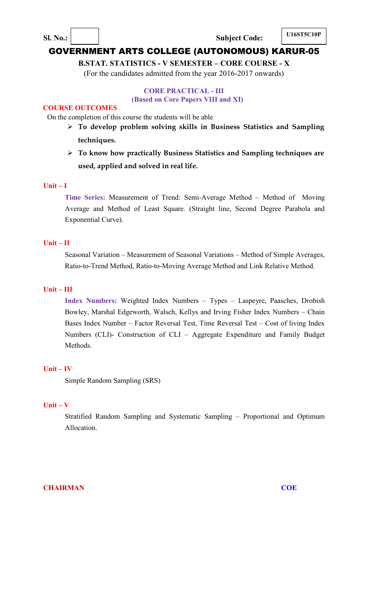**Sl. No.: I U16ST5C10P Subject Code: I U16ST5C10P** 

# GOVERNMENT ARTS COLLEGE (AUTONOMOUS) KARUR-05

**B.STAT. STATISTICS - V SEMESTER – CORE COURSE - X**  (For the candidates admitted from the year 2016-2017 onwards)

# **CORE PRACTICAL - III**

# **(Based on Core Papers VIII and XI)**

## **COURSE OUTCOMES**

On the completion of this course the students will be able

- **To develop problem solving skills in Business Statistics and Sampling techniques.**
- **To know how practically Business Statistics and Sampling techniques are used, applied and solved in real life.**

#### **Unit – I**

**Time Series:** Measurement of Trend: Semi-Average Method – Method of Moving Average and Method of Least Square. (Straight line, Second Degree Parabola and Exponential Curve).

# **Unit – II**

Seasonal Variation – Measurement of Seasonal Variations – Method of Simple Averages, Ratio-to-Trend Method, Ratio-to-Moving Average Method and Link Relative Method.

# **Unit – III**

**Index Numbers:** Weighted Index Numbers – Types – Laspeyre, Paasches, Drobish Bowley, Marshal Edgeworth, Walsch, Kellys and Irving Fisher Index Numbers – Chain Bases Index Number – Factor Reversal Test, Time Reversal Test – Cost of living Index Numbers (CLI)- Construction of CLI – Aggregate Expenditure and Family Budget Methods.

## **Unit – IV**

Simple Random Sampling (SRS)

#### **Unit – V**

Stratified Random Sampling and Systematic Sampling – Proportional and Optimum Allocation.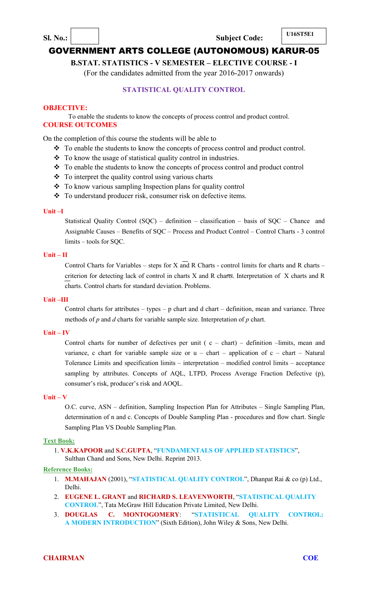**B.STAT. STATISTICS - V SEMESTER – ELECTIVE COURSE - I** 

(For the candidates admitted from the year 2016-2017 onwards)

# **STATISTICAL QUALITY CONTROL**

# **OBJECTIVE:**

To enable the students to know the concepts of process control and product control. **COURSE OUTCOMES** 

On the completion of this course the students will be able to

- \* To enable the students to know the concepts of process control and product control.
- To know the usage of statistical quality control in industries.
- \* To enable the students to know the concepts of process control and product control
- \* To interpret the quality control using various charts
- To know various sampling Inspection plans for quality control
- To understand producer risk, consumer risk on defective items.

#### **Unit –I**

Statistical Quality Control (SQC) – definition – classification – basis of SQC – Chance and Assignable Causes – Benefits of SQC – Process and Product Control – Control Charts - 3 control limits – tools for SQC.

#### **Unit – II**

Control Charts for Variables – steps for X and R Charts - control limits for charts and R charts – criterion for detecting lack of control in charts X and R charts. Interpretation of X charts and R charts. Control charts for standard deviation. Problems.

# **Unit –III**

Control charts for attributes – types – p chart and d chart – definition, mean and variance. Three methods of *p* and *d* charts for variable sample size. Interpretation of *p* chart.

#### **Unit – IV**

Control charts for number of defectives per unit ( $c - chart$ ) – definition –limits, mean and variance, c chart for variable sample size or  $u -$  chart – application of  $c -$  chart – Natural Tolerance Limits and specification limits – interpretation – modified control limits – acceptance sampling by attributes. Concepts of AQL, LTPD, Process Average Fraction Defective (p), consumer's risk, producer's risk and AOQL.

#### **Unit – V**

O.C. curve, ASN – definition, Sampling Inspection Plan for Attributes – Single Sampling Plan, determination of n and c. Concepts of Double Sampling Plan - procedures and flow chart. Single Sampling Plan VS Double Sampling Plan.

#### **Text Book:**

1. **V.K.KAPOOR** and **S.C.GUPTA**, "**FUNDAMENTALS OF APPLIED STATISTICS**", Sulthan Chand and Sons, New Delhi. Reprint 2013.

#### **Reference Books:**

- 1. **M.MAHAJAN** (2001), "**STATISTICAL QUALITY CONTROL**", Dhanpat Rai & co (p) Ltd., Delhi.
- 2. **EUGENE L. GRANT** and **RICHARD S. LEAVENWORTH**, "**STATISTICAL QUALITY CONTROL**", Tata McGraw Hill Education Private Limited, New Delhi.
- 3. **DOUGLAS C. MONTOGOMERY**: "**STATISTICAL QUALITY CONTROL: A MODERN INTRODUCTION**" (Sixth Edition), John Wiley & Sons, New Delhi.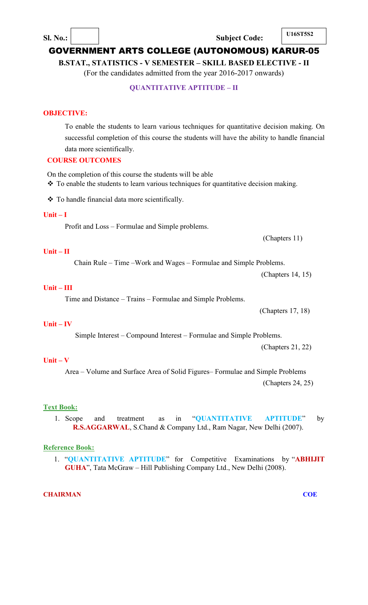**B.STAT., STATISTICS - V SEMESTER – SKILL BASED ELECTIVE - II**  (For the candidates admitted from the year 2016-2017 onwards)

# **QUANTITATIVE APTITUDE – II**

## **OBJECTIVE:**

To enable the students to learn various techniques for quantitative decision making. On successful completion of this course the students will have the ability to handle financial data more scientifically.

# **COURSE OUTCOMES**

On the completion of this course the students will be able

• To enable the students to learn various techniques for quantitative decision making.

\* To handle financial data more scientifically.

# **Unit – I**

Profit and Loss – Formulae and Simple problems.

(Chapters 11)

#### **Unit – II**

Chain Rule – Time –Work and Wages – Formulae and Simple Problems.

(Chapters 14, 15)

#### **Unit – III**

Time and Distance – Trains – Formulae and Simple Problems.

(Chapters 17, 18)

# **Unit – IV**

Simple Interest – Compound Interest – Formulae and Simple Problems.

(Chapters 21, 22)

# **Unit – V**

Area – Volume and Surface Area of Solid Figures– Formulae and Simple Problems (Chapters 24, 25)

# **Text Book:**

1. Scope and treatment as in "**QUANTITATIVE APTITUDE**" by **R.S.AGGARWAL**, S.Chand & Company Ltd., Ram Nagar, New Delhi (2007).

## **Reference Book:**

1. "**QUANTITATIVE APTITUDE**" for Competitive Examinations by "**ABHIJIT GUHA**", Tata McGraw – Hill Publishing Company Ltd., New Delhi (2008).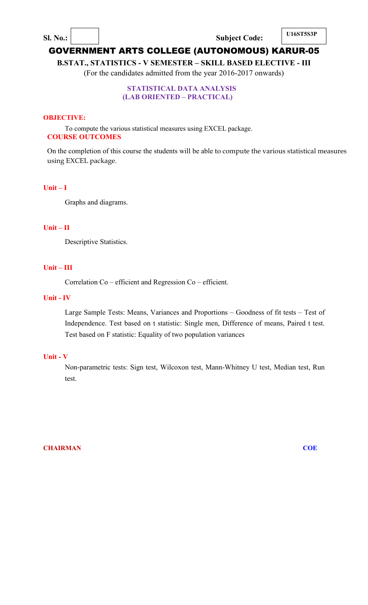**Sl. No.: U16ST5S3P Subject Code: U16ST5S3P** 

# GOVERNMENT ARTS COLLEGE (AUTONOMOUS) KARUR-05

**B.STAT., STATISTICS - V SEMESTER – SKILL BASED ELECTIVE - III**  (For the candidates admitted from the year 2016-2017 onwards)

# **STATISTICAL DATA ANALYSIS (LAB ORIENTED – PRACTICAL)**

## **OBJECTIVE:**

To compute the various statistical measures using EXCEL package. **COURSE OUTCOMES** 

On the completion of this course the students will be able to compute the various statistical measures using EXCEL package.

# **Unit – I**

Graphs and diagrams.

#### **Unit – II**

Descriptive Statistics.

# **Unit – III**

Correlation Co – efficient and Regression Co – efficient.

#### **Unit - IV**

Large Sample Tests: Means, Variances and Proportions – Goodness of fit tests – Test of Independence. Test based on t statistic: Single men, Difference of means, Paired t test. Test based on F statistic: Equality of two population variances

#### **Unit - V**

Non-parametric tests: Sign test, Wilcoxon test, Mann-Whitney U test, Median test, Run test.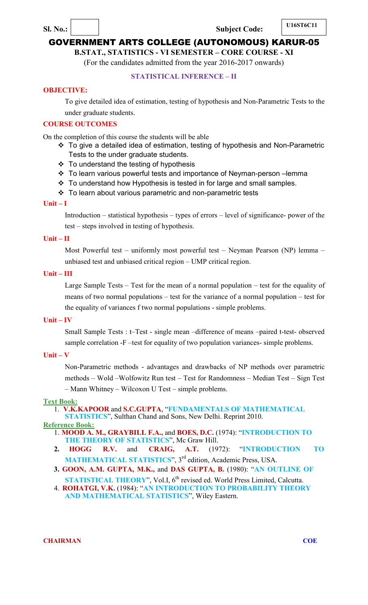# **Sl. No.: U16ST6C11 Subject Code: U16ST6C11**

# GOVERNMENT ARTS COLLEGE (AUTONOMOUS) KARUR-05

# **B.STAT., STATISTICS - VI SEMESTER – CORE COURSE - XI**

(For the candidates admitted from the year 2016-2017 onwards)

# **STATISTICAL INFERENCE – II**

#### **OBJECTIVE:**

To give detailed idea of estimation, testing of hypothesis and Non-Parametric Tests to the under graduate students.

# **COURSE OUTCOMES**

On the completion of this course the students will be able

- To give a detailed idea of estimation, testing of hypothesis and Non-Parametric Tests to the under graduate students.
- $\div$  To understand the testing of hypothesis
- To learn various powerful tests and importance of Neyman-person –lemma
- ❖ To understand how Hypothesis is tested in for large and small samples.
- To learn about various parametric and non-parametric tests

#### **Unit – I**

Introduction – statistical hypothesis – types of errors – level of significance- power of the test – steps involved in testing of hypothesis.

#### **Unit – II**

Most Powerful test – uniformly most powerful test – Neyman Pearson (NP) lemma – unbiased test and unbiased critical region – UMP critical region.

#### **Unit – III**

Large Sample Tests – Test for the mean of a normal population – test for the equality of means of two normal populations – test for the variance of a normal population – test for the equality of variances f two normal populations - simple problems.

#### **Unit – IV**

Small Sample Tests : t–Test - single mean –difference of means –paired t-test- observed sample correlation -F –test for equality of two population variances- simple problems.

# **Unit – V**

Non-Parametric methods - advantages and drawbacks of NP methods over parametric methods – Wold –Wolfowitz Run test – Test for Randomness – Median Test – Sign Test – Mann Whitney – Wilcoxon U Test – simple problems.

#### **Text Book:**

- 1. **V.K.KAPOOR** and **S.C.GUPTA**, "**FUNDAMENTALS OF MATHEMATICAL**
- **STATISTICS**", Sulthan Chand and Sons, New Delhi. Reprint 2010.

**Reference Book:**

- 1. **MOOD A. M., GRAYBILL F.A.,** and **BOES, D.C.** (1974): "**INTRODUCTION TO**  THE THEORY OF STATISTICS", Mc Graw Hill.
- **2. HOGG R.V.** and **CRAIG, A.T.** (1972): "**INTRODUCTION TO** MATHEMATICAL STATISTICS", 3<sup>rd</sup> edition, Academic Press, USA.
- **3. GOON, A.M. GUPTA, M.K.,** and **DAS GUPTA, B.** (1980): "**AN OUTLINE OF**
- STATISTICAL THEORY", Vol.I, 6<sup>th</sup> revised ed. World Press Limited, Calcutta. 4. **ROHATGI, V.K.** (1984): "**AN INTRODUCTION TO PROBABILITY THEORY AND MATHEMATICAL STATISTICS**", Wiley Eastern.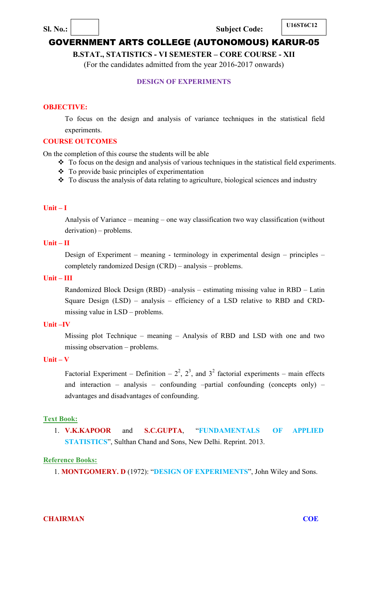# **Sl. No.: U16ST6C12 Subject Code: U16ST6C12**

# GOVERNMENT ARTS COLLEGE (AUTONOMOUS) KARUR-05

**B.STAT., STATISTICS - VI SEMESTER – CORE COURSE - XII** 

(For the candidates admitted from the year 2016-2017 onwards)

# **DESIGN OF EXPERIMENTS**

## **OBJECTIVE:**

To focus on the design and analysis of variance techniques in the statistical field experiments.

#### **COURSE OUTCOMES**

On the completion of this course the students will be able

- \* To focus on the design and analysis of various techniques in the statistical field experiments.
- To provide basic principles of experimentation
- To discuss the analysis of data relating to agriculture, biological sciences and industry

#### **Unit – I**

Analysis of Variance – meaning – one way classification two way classification (without derivation) – problems.

## **Unit – II**

Design of Experiment – meaning - terminology in experimental design – principles – completely randomized Design (CRD) – analysis – problems.

#### **Unit – III**

Randomized Block Design (RBD) –analysis – estimating missing value in RBD – Latin Square Design (LSD) – analysis – efficiency of a LSD relative to RBD and CRDmissing value in LSD – problems.

#### **Unit –IV**

Missing plot Technique – meaning – Analysis of RBD and LSD with one and two missing observation – problems.

# **Unit – V**

Factorial Experiment – Definition –  $2^2$ ,  $2^3$ , and  $3^2$  factorial experiments – main effects and interaction – analysis – confounding –partial confounding (concepts only) – advantages and disadvantages of confounding.

#### **Text Book:**

1. **V.K.KAPOOR** and **S.C.GUPTA**, "**FUNDAMENTALS OF APPLIED STATISTICS**", Sulthan Chand and Sons, New Delhi. Reprint. 2013.

# **Reference Books:**

1. **MONTGOMERY. D** (1972): "**DESIGN OF EXPERIMENTS**", John Wiley and Sons.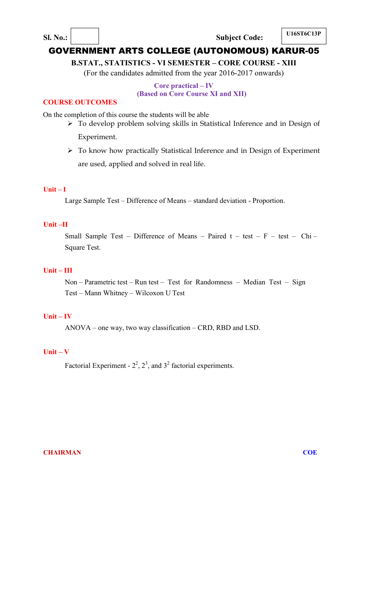**Sl. No.:** Subject Code:

# GOVERNMENT ARTS COLLEGE (AUTONOMOUS) KARUR-05

**B.STAT., STATISTICS - VI SEMESTER – CORE COURSE - XIII** 

(For the candidates admitted from the year 2016-2017 onwards)

# **Core practical – IV (Based on Core Course XI and XII)**

# **COURSE OUTCOMES**

On the completion of this course the students will be able

- To develop problem solving skills in Statistical Inference and in Design of Experiment.
- To know how practically Statistical Inference and in Design of Experiment are used, applied and solved in real life.

# **Unit – I**

Large Sample Test – Difference of Means – standard deviation - Proportion.

# **Unit –II**

Small Sample Test – Difference of Means – Paired  $t - test - F - test - Chi -$ Square Test.

# **Unit – III**

Non – Parametric test – Run test – Test for Randomness – Median Test – Sign Test – Mann Whitney – Wilcoxon U Test

# **Unit – IV**

ANOVA – one way, two way classification – CRD, RBD and LSD.

# **Unit – V**

Factorial Experiment -  $2^2$ ,  $2^3$ , and  $3^2$  factorial experiments.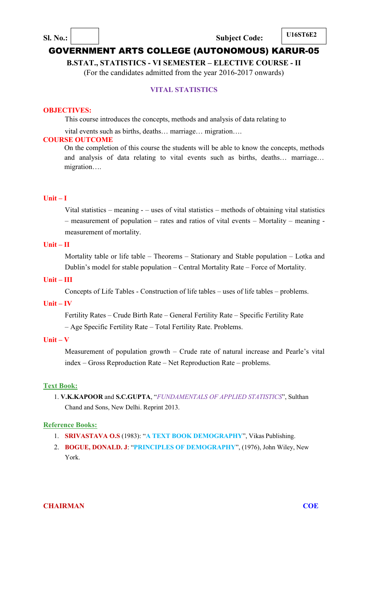**B.STAT., STATISTICS - VI SEMESTER – ELECTIVE COURSE - II** 

(For the candidates admitted from the year 2016-2017 onwards)

# **VITAL STATISTICS**

#### **OBJECTIVES:**

This course introduces the concepts, methods and analysis of data relating to

vital events such as births, deaths… marriage… migration….

#### **COURSE OUTCOME**

On the completion of this course the students will be able to know the concepts, methods and analysis of data relating to vital events such as births, deaths… marriage… migration….

# **Unit – I**

Vital statistics – meaning - – uses of vital statistics – methods of obtaining vital statistics – measurement of population – rates and ratios of vital events – Mortality – meaning measurement of mortality.

## **Unit – II**

Mortality table or life table – Theorems – Stationary and Stable population – Lotka and Dublin's model for stable population – Central Mortality Rate – Force of Mortality.

#### **Unit – III**

Concepts of Life Tables - Construction of life tables – uses of life tables – problems.

#### **Unit – IV**

Fertility Rates – Crude Birth Rate – General Fertility Rate – Specific Fertility Rate – Age Specific Fertility Rate – Total Fertility Rate. Problems.

# **Unit – V**

Measurement of population growth – Crude rate of natural increase and Pearle's vital index – Gross Reproduction Rate – Net Reproduction Rate – problems.

#### **Text Book:**

1. **V.K.KAPOOR** and **S.C.GUPTA**, "*FUNDAMENTALS OF APPLIED STATISTICS*", Sulthan Chand and Sons, New Delhi. Reprint 2013.

#### **Reference Books:**

- 1. **SRIVASTAVA O.S** (1983): "**A TEXT BOOK DEMOGRAPHY**", Vikas Publishing.
- 2. **BOGUE, DONALD. J**: "**PRINCIPLES OF DEMOGRAPHY**", (1976), John Wiley, New York.